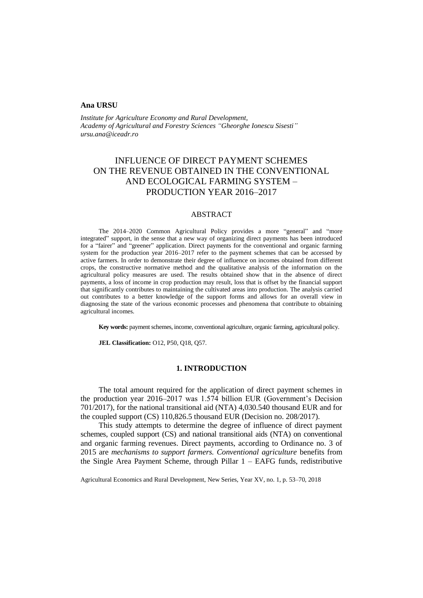## **Ana URSU**

*Institute for Agriculture Economy and Rural Development, Academy of Agricultural and Forestry Sciences "Gheorghe Ionescu Sisesti" ursu.ana@iceadr.ro*

# INFLUENCE OF DIRECT PAYMENT SCHEMES ON THE REVENUE OBTAINED IN THE CONVENTIONAL AND ECOLOGICAL FARMING SYSTEM – PRODUCTION YEAR 2016–2017

## ABSTRACT

The 2014–2020 Common Agricultural Policy provides a more "general" and "more integrated" support, in the sense that a new way of organizing direct payments has been introduced for a "fairer" and "greener" application. Direct payments for the conventional and organic farming system for the production year 2016–2017 refer to the payment schemes that can be accessed by active farmers. In order to demonstrate their degree of influence on incomes obtained from different crops, the constructive normative method and the qualitative analysis of the information on the agricultural policy measures are used. The results obtained show that in the absence of direct payments, a loss of income in crop production may result, loss that is offset by the financial support that significantly contributes to maintaining the cultivated areas into production. The analysis carried out contributes to a better knowledge of the support forms and allows for an overall view in diagnosing the state of the various economic processes and phenomena that contribute to obtaining agricultural incomes.

**Key words:** payment schemes, income, conventional agriculture, organic farming, agricultural policy.

**JEL Classification:** O12, P50, Q18, Q57.

## **1. INTRODUCTION**

The total amount required for the application of direct payment schemes in the production year 2016–2017 was 1.574 billion EUR (Government's Decision 701/2017), for the national transitional aid (NTA) 4,030.540 thousand EUR and for the coupled support (CS) 110,826.5 thousand EUR (Decision no. 208/2017).

This study attempts to determine the degree of influence of direct payment schemes, coupled support (CS) and national transitional aids (NTA) on conventional and organic farming revenues. Direct payments, according to Ordinance no. 3 of 2015 are *mechanisms to support farmers. Conventional agriculture* benefits from the Single Area Payment Scheme, through Pillar 1 – EAFG funds, redistributive

Agricultural Economics and Rural Development, New Series, Year XV, no. 1, p. 53–70, 2018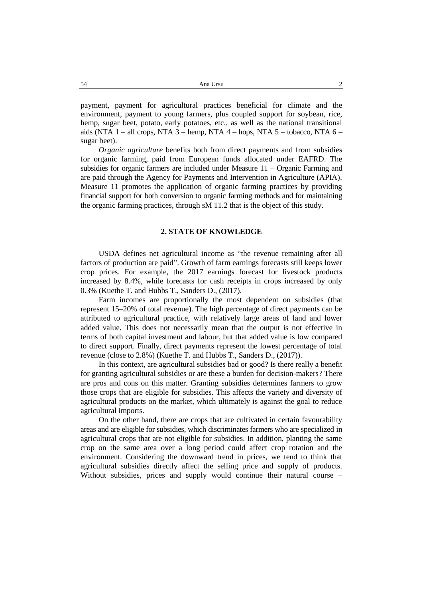payment, payment for agricultural practices beneficial for climate and the environment, payment to young farmers, plus coupled support for soybean, rice, hemp, sugar beet, potato, early potatoes, etc., as well as the national transitional aids (NTA  $1$  – all crops, NTA  $3$  – hemp, NTA  $4$  – hops, NTA  $5$  – tobacco, NTA  $6$  – sugar beet).

*Organic agriculture* benefits both from direct payments and from subsidies for organic farming, paid from European funds allocated under EAFRD. The subsidies for organic farmers are included under Measure 11 – Organic Farming and are paid through the Agency for Payments and Intervention in Agriculture (APIA). Measure 11 promotes the application of organic farming practices by providing financial support for both conversion to organic farming methods and for maintaining the organic farming practices, through sM 11.2 that is the object of this study.

## **2. STATE OF KNOWLEDGE**

USDA defines net agricultural income as "the revenue remaining after all factors of production are paid". Growth of farm earnings forecasts still keeps lower crop prices. For example, the 2017 earnings forecast for livestock products increased by 8.4%, while forecasts for cash receipts in crops increased by only 0.3% (Kuethe T. and Hubbs T., Sanders D., (2017).

Farm incomes are proportionally the most dependent on subsidies (that represent 15–20% of total revenue). The high percentage of direct payments can be attributed to agricultural practice, with relatively large areas of land and lower added value. This does not necessarily mean that the output is not effective in terms of both capital investment and labour, but that added value is low compared to direct support. Finally, direct payments represent the lowest percentage of total revenue (close to 2.8%) (Kuethe T. and Hubbs T., Sanders D., (2017)).

In this context, are agricultural subsidies bad or good? Is there really a benefit for granting agricultural subsidies or are these a burden for decision-makers? There are pros and cons on this matter. Granting subsidies determines farmers to grow those crops that are eligible for subsidies. This affects the variety and diversity of agricultural products on the market, which ultimately is against the goal to reduce agricultural imports.

On the other hand, there are crops that are cultivated in certain favourability areas and are eligible for subsidies, which discriminates farmers who are specialized in agricultural crops that are not eligible for subsidies. In addition, planting the same crop on the same area over a long period could affect crop rotation and the environment. Considering the downward trend in prices, we tend to think that agricultural subsidies directly affect the selling price and supply of products. Without subsidies, prices and supply would continue their natural course –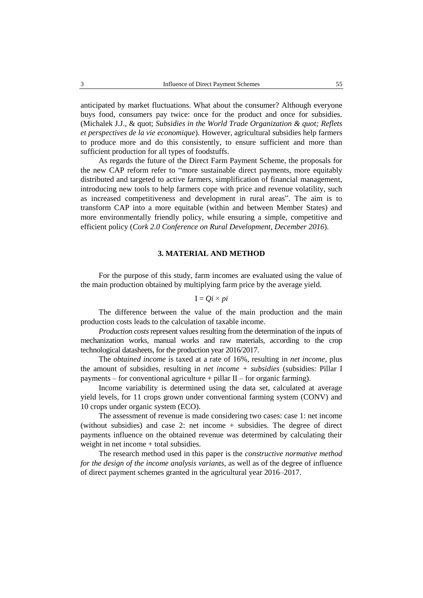anticipated by market fluctuations. What about the consumer? Although everyone buys food, consumers pay twice: once for the product and once for subsidies. (Michalek J.J., & quot; *Subsidies in the World Trade Organization & quot; Reflets et perspectives de la vie economique*). However, agricultural subsidies help farmers to produce more and do this consistently, to ensure sufficient and more than sufficient production for all types of foodstuffs.

As regards the future of the Direct Farm Payment Scheme, the proposals for the new CAP reform refer to "more sustainable direct payments, more equitably distributed and targeted to active farmers, simplification of financial management, introducing new tools to help farmers cope with price and revenue volatility, such as increased competitiveness and development in rural areas". The aim is to transform CAP into a more equitable (within and between Member States) and more environmentally friendly policy, while ensuring a simple, competitive and efficient policy (*Cork 2.0 Conference on Rural Development, December 2016*).

## **3. MATERIAL AND METHOD**

For the purpose of this study, farm incomes are evaluated using the value of the main production obtained by multiplying farm price by the average yield.

$$
I = Qi \times pi
$$

The difference between the value of the main production and the main production costs leads to the calculation of taxable income.

*Production costs* represent values resulting from the determination of the inputs of mechanization works, manual works and raw materials, according to the crop technological datasheets, for the production year 2016/2017.

The *obtained income* is taxed at a rate of 16%, resulting in *net income*, plus the amount of subsidies, resulting in *net income + subsidies* (subsidies: Pillar I payments – for conventional agriculture + pillar  $II$  – for organic farming).

Income variability is determined using the data set, calculated at average yield levels, for 11 crops grown under conventional farming system (CONV) and 10 crops under organic system (ECO).

The assessment of revenue is made considering two cases: case 1: net income (without subsidies) and case 2: net income + subsidies. The degree of direct payments influence on the obtained revenue was determined by calculating their weight in net income + total subsidies.

The research method used in this paper is the *constructive normative method for the design of the income analysis variants,* as well as of the degree of influence of direct payment schemes granted in the agricultural year 2016–2017.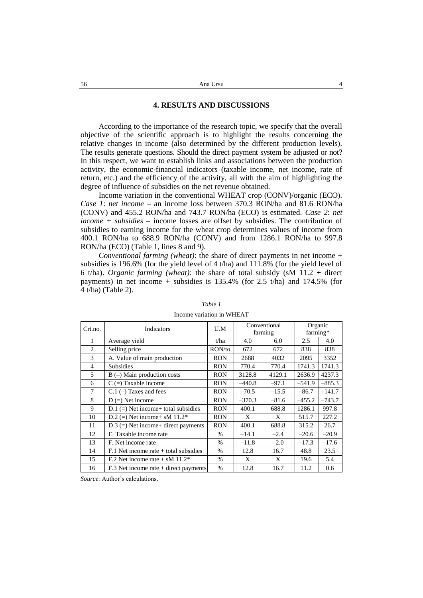## **4. RESULTS AND DISCUSSIONS**

According to the importance of the research topic, we specify that the overall objective of the scientific approach is to highlight the results concerning the relative changes in income (also determined by the different production levels). The results generate questions. Should the direct payment system be adjusted or not? In this respect, we want to establish links and associations between the production activity, the economic-financial indicators (taxable income, net income, rate of return, etc.) and the efficiency of the activity, all with the aim of highlighting the degree of influence of subsidies on the net revenue obtained.

Income variation in the conventional WHEAT crop (CONV)/organic (ECO). *Case 1*: *net income* – an income loss between 370.3 RON/ha and 81.6 RON/ha (CONV) and 455.2 RON/ha and 743.7 RON/ha (ECO) is estimated. *Case 2*: *net income + subsidies* – income losses are offset by subsidies. The contribution of subsidies to earning income for the wheat crop determines values of income from 400.1 RON/ha to 688.9 RON/ha (CONV) and from 1286.1 RON/ha to 997.8 RON/ha (ECO) (Table 1, lines 8 and 9).

*Conventional farming (wheat)*: the share of direct payments in net income + subsidies is 196.6% (for the yield level of 4 t/ha) and 111.8% (for the yield level of 6 t/ha). *Organic farming (wheat)*: the share of total subsidy (sM 11.2 + direct payments) in net income + subsidies is  $135.4\%$  (for 2.5 t/ha) and  $174.5\%$  (for 4 t/ha) (Table 2).

| Crt.no.        | Indicators                                   | U.M        | Conventional<br>farming |         | Organic<br>farming* |          |
|----------------|----------------------------------------------|------------|-------------------------|---------|---------------------|----------|
| 1              | Average yield                                | t/ha       | 4.0                     | 6.0     | 2.5                 | 4.0      |
| $\overline{c}$ | Selling price                                | RON/to     | 672                     | 672     | 838                 | 838      |
| 3              | A. Value of main production                  | <b>RON</b> | 2688                    | 4032    | 2095                | 3352     |
| $\overline{4}$ | <b>Subsidies</b>                             | <b>RON</b> | 770.4                   | 770.4   | 1741.3              | 1741.3   |
| 5              | $B$ (–) Main production costs                | <b>RON</b> | 3128.8                  | 4129.1  | 2636.9              | 4237.3   |
| 6              | $C =$ Taxable income                         | <b>RON</b> | $-440.8$                | $-97.1$ | $-541.9$            | $-885.3$ |
| 7              | $C.1$ (-) Taxes and fees                     | <b>RON</b> | $-70.5$                 | $-15.5$ | $-86.7$             | $-141.7$ |
| 8              | $D (=)$ Net income                           | <b>RON</b> | $-370.3$                | $-81.6$ | $-455.2$            | $-743.7$ |
| 9              | $D.1 (=)$ Net income+ total subsidies        | <b>RON</b> | 400.1                   | 688.8   | 1286.1              | 997.8    |
| 10             | D.2 (=) Net income + sM $11.2*$              | <b>RON</b> | X                       | X       | 515.7               | 227.2    |
| 11             | $D.3$ (=) Net income+ direct payments        | <b>RON</b> | 400.1                   | 688.8   | 315.2               | 26.7     |
| 12             | E. Taxable income rate                       | $\%$       | $-14.1$                 | $-2.4$  | $-20.6$             | $-20.9$  |
| 13             | F. Net income rate                           | $\%$       | $-11.8$                 | $-2.0$  | $-17.3$             | $-17.6$  |
| 14             | $F.1$ Net income rate $+$ total subsidies    | $\%$       | 12.8                    | 16.7    | 48.8                | 23.5     |
| 15             | F.2 Net income rate $+$ sM 11.2 <sup>*</sup> | $\%$       | X                       | X       | 19.6                | 5.4      |
| 16             | $F.3$ Net income rate + direct payments      | $\%$       | 12.8                    | 16.7    | 11.2                | 0.6      |

*Table 1*

Income variation in WHEAT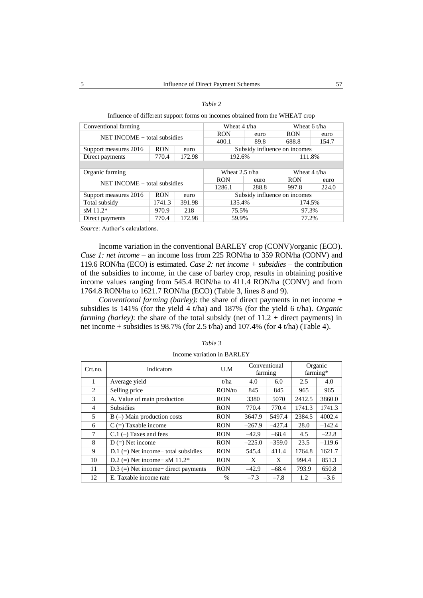| able |  |
|------|--|
|      |  |

Influence of different support forms on incomes obtained from the WHEAT crop

| Conventional farming               | Wheat $4$ t/ha |        | Wheat 6 t/ha     |        |                              |       |  |
|------------------------------------|----------------|--------|------------------|--------|------------------------------|-------|--|
| $NET INCOME + total$ subsidies     |                |        | <b>RON</b>       | euro   | <b>RON</b>                   | euro  |  |
|                                    |                |        | 400.1            | 89.8   | 688.8                        | 154.7 |  |
| Support measures 2016              | <b>RON</b>     | euro   |                  |        | Subsidy influence on incomes |       |  |
| Direct payments                    | 770.4          | 172.98 | 192.6%           |        | 111.8%                       |       |  |
|                                    |                |        |                  |        |                              |       |  |
| Organic farming                    |                |        | Wheat $2.5$ t/ha |        | Wheat $4 t/ha$               |       |  |
| $NET INCOMP + total$ subsidies     |                |        | <b>RON</b>       | euro   | <b>RON</b>                   | euro  |  |
|                                    |                |        | 1286.1           | 288.8  | 997.8                        | 224.0 |  |
| Support measures 2016              | <b>RON</b>     | euro   |                  |        | Subsidy influence on incomes |       |  |
| Total subsidy<br>1741.3<br>391.98  |                | 135.4% |                  | 174.5% |                              |       |  |
| $sM$ 11.2*                         | 970.9          | 218    | 75.5%            |        | 97.3%                        |       |  |
| 172.98<br>770.4<br>Direct payments |                | 59.9%  |                  | 77.2%  |                              |       |  |

Income variation in the conventional BARLEY crop (CONV)/organic (ECO). *Case 1: net income* – an income loss from 225 RON/ha to 359 RON/ha (CONV) and 119.6 RON/ha (ECO) is estimated. *Case 2: net income + subsidies* – the contribution of the subsidies to income, in the case of barley crop, results in obtaining positive income values ranging from 545.4 RON/ha to 411.4 RON/ha (CONV) and from 1764.8 RON/ha to 1621.7 RON/ha (ECO) (Table 3, lines 8 and 9).

*Conventional farming (barley)*: the share of direct payments in net income + subsidies is 141% (for the yield 4 t/ha) and 187% (for the yield 6 t/ha). *Organic farming (barley)*: the share of the total subsidy (net of  $11.2 +$  direct payments) in net income + subsidies is  $98.7\%$  (for 2.5 t/ha) and 107.4% (for 4 t/ha) (Table 4).

| Crt.no.        | Indicators                            | U.M           | Conventional<br>farming |          | Organic<br>farming* |          |
|----------------|---------------------------------------|---------------|-------------------------|----------|---------------------|----------|
| 1              | Average yield                         | t/ha          | 4.0                     | 6.0      | 2.5                 | 4.0      |
| $\mathfrak{D}$ | Selling price                         | RON/to        | 845                     | 845      | 965                 | 965      |
| 3              | A. Value of main production           | <b>RON</b>    | 3380                    | 5070     | 2412.5              | 3860.0   |
| $\overline{4}$ | <b>Subsidies</b>                      | <b>RON</b>    | 770.4                   | 770.4    | 1741.3              | 1741.3   |
| 5              | $B$ (-) Main production costs         | <b>RON</b>    | 3647.9                  | 5497.4   | 2384.5              | 4002.4   |
| 6              | $C =$ Taxable income                  | <b>RON</b>    | $-267.9$                | $-427.4$ | 28.0                | $-142.4$ |
| 7              | $C.1$ (-) Taxes and fees              | <b>RON</b>    | $-42.9$                 | $-68.4$  | 4.5                 | $-22.8$  |
| 8              | $D (=)$ Net income                    | <b>RON</b>    | $-225.0$                | $-359.0$ | 23.5                | $-119.6$ |
| 9              | $D.1 (=)$ Net income+ total subsidies | <b>RON</b>    | 545.4                   | 411.4    | 1764.8              | 1621.7   |
| 10             | D.2 (=) Net income + sM $11.2*$       | <b>RON</b>    | X                       | X        | 994.4               | 851.3    |
| 11             | $D.3$ (=) Net income+ direct payments | <b>RON</b>    | $-42.9$                 | $-68.4$  | 793.9               | 650.8    |
| 12             | E. Taxable income rate                | $\frac{0}{0}$ | $-7.3$                  | $-7.8$   | 1.2                 | $-3.6$   |

Income variation in BARLEY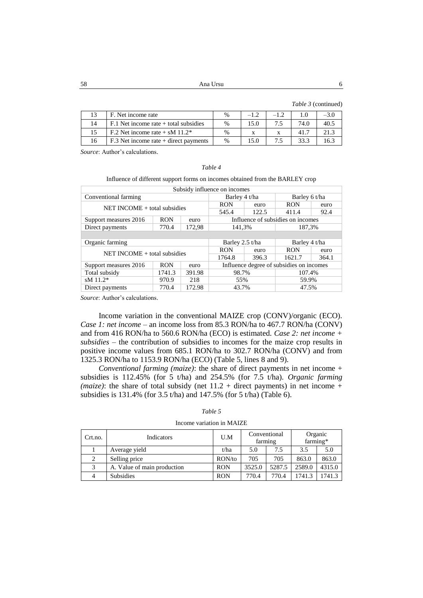58 Ana Ursu 6

*Table 3* (continued)

| F. Net income rate                           | $\frac{0}{0}$ |      |    |      | $-3.0$ |
|----------------------------------------------|---------------|------|----|------|--------|
| $F0$ . Net income rate + total subsidies     | $\%$          | 15.0 |    | 74.0 | 40.5   |
| F.2 Net income rate $+$ sM 11.2 <sup>*</sup> | $\%$          |      |    | 41.7 | 21.3   |
| $F.3$ Net income rate + direct payments      | $\%$          | 15.0 | 75 | 33.3 | 16.3   |
|                                              |               |      |    |      |        |

*Source*: Author's calculations.

| Table |  |
|-------|--|
|-------|--|

Influence of different support forms on incomes obtained from the BARLEY crop

| Subsidy influence on incomes   |            |        |                                          |        |                                   |        |  |
|--------------------------------|------------|--------|------------------------------------------|--------|-----------------------------------|--------|--|
| Conventional farming           |            |        | Barley 4 t/ha                            |        | Barley 6 t/ha                     |        |  |
| NET INCOME $+$ total subsidies |            |        | <b>RON</b>                               | euro   | <b>RON</b>                        | euro   |  |
|                                |            | 545.4  | 122.5                                    | 411.4  | 92.4                              |        |  |
| Support measures 2016          | <b>RON</b> | euro   |                                          |        | Influence of subsidies on incomes |        |  |
| Direct payments                | 770.4      | 172,98 |                                          | 141,3% |                                   | 187,3% |  |
|                                |            |        |                                          |        |                                   |        |  |
| Organic farming                |            |        | Barley 2.5 t/ha                          |        | Barley 4 t/ha                     |        |  |
| NET INCOME $+$ total subsidies |            |        | <b>RON</b>                               | euro   | <b>RON</b>                        | euro   |  |
|                                |            |        | 1764.8                                   | 396.3  | 1621.7                            | 364.1  |  |
| Support measures 2016          | <b>RON</b> | euro   | Influence degree of subsidies on incomes |        |                                   |        |  |
| Total subsidy                  | 1741.3     | 391.98 | 98.7%                                    |        | 107.4%                            |        |  |
| sM $11.2*$                     | 970.9      | 218    | 55%                                      |        | 59.9%                             |        |  |
| Direct payments                | 770.4      | 172.98 | 43.7%                                    |        | 47.5%                             |        |  |

*Source*: Author's calculations.

Income variation in the conventional MAIZE crop (CONV)/organic (ECO). *Case 1: net income* – an income loss from 85.3 RON/ha to 467.7 RON/ha (CONV) and from 416 RON/ha to 560.6 RON/ha (ECO) is estimated. *Case 2: net income + subsidies* – the contribution of subsidies to incomes for the maize crop results in positive income values from 685.1 RON/ha to 302.7 RON/ha (CONV) and from 1325.3 RON/ha to 1153.9 RON/ha (ECO) (Table 5, lines 8 and 9).

*Conventional farming (maize)*: the share of direct payments in net income + subsidies is 112.45% (for 5 t/ha) and 254.5% (for 7.5 t/ha). *Organic farming*  (*maize*): the share of total subsidy (net  $11.2$  + direct payments) in net income + subsidies is 131.4% (for 3.5 t/ha) and 147.5% (for 5 t/ha) (Table 6).

| Crt.no. | Indicators                  | U.M        | Conventional<br>farming |        | Organic<br>farming* |        |
|---------|-----------------------------|------------|-------------------------|--------|---------------------|--------|
|         | Average yield               | t/ha       | 5.0                     | 7.5    | 3.5                 | 5.0    |
|         | Selling price               | RON/to     | 705                     | 705    | 863.0               | 863.0  |
|         | A. Value of main production | <b>RON</b> | 3525.0                  | 5287.5 | 2589.0              | 4315.0 |
|         | <b>Subsidies</b>            | <b>RON</b> | 770.4                   | 770.4  | 1741.3              | 1741.3 |

*Table 5* Income variation in MAIZE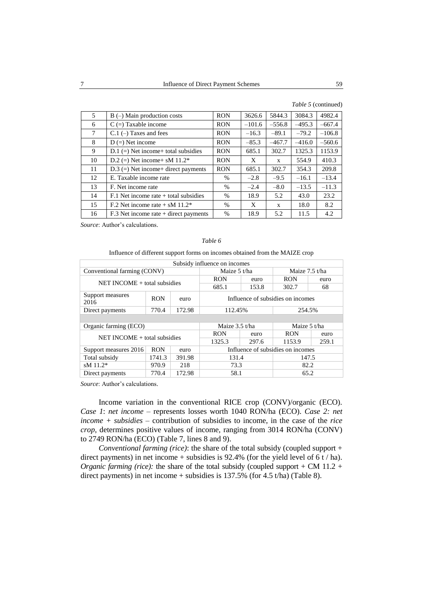|    |                                              |               |          |              |          | Table 5 (continued) |  |
|----|----------------------------------------------|---------------|----------|--------------|----------|---------------------|--|
| 5  | $B$ (-) Main production costs                | <b>RON</b>    | 3626.6   | 5844.3       | 3084.3   | 4982.4              |  |
| 6  | $C =$ Taxable income                         | <b>RON</b>    | $-101.6$ | $-556.8$     | $-495.3$ | $-667.4$            |  |
| 7  | $C.1$ (-) Taxes and fees                     | <b>RON</b>    | $-16.3$  | $-89.1$      | $-79.2$  | $-106.8$            |  |
| 8  | $D (=)$ Net income                           | <b>RON</b>    | $-85.3$  | $-467.7$     | $-416.0$ | $-560.6$            |  |
| 9  | $D.1$ (=) Net income+ total subsidies        | <b>RON</b>    | 685.1    | 302.7        | 1325.3   | 1153.9              |  |
| 10 | D.2 (=) Net income + sM $11.2^*$             | <b>RON</b>    | X        | $\mathbf{x}$ | 554.9    | 410.3               |  |
| 11 | $D.3$ (=) Net income+ direct payments        | <b>RON</b>    | 685.1    | 302.7        | 354.3    | 209.8               |  |
| 12 | E. Taxable income rate                       | $\%$          | $-2.8$   | $-9.5$       | $-16.1$  | $-13.4$             |  |
| 13 | F. Net income rate                           | %             | $-2.4$   | $-8.0$       | $-13.5$  | $-11.3$             |  |
| 14 | $F.1$ Net income rate $+$ total subsidies    | %             | 18.9     | 5.2          | 43.0     | 23.2                |  |
| 15 | F.2 Net income rate $+$ sM 11.2 <sup>*</sup> | %             | X        | $\mathbf{x}$ | 18.0     | 8.2                 |  |
| 16 | $F.3$ Net income rate + direct payments      | $\frac{0}{0}$ | 18.9     | 5.2          | 11.5     | 4.2                 |  |

#### *Table 6*

Influence of different support forms on incomes obtained from the MAIZE crop

| Subsidy influence on incomes   |            |        |                                   |       |                                   |       |  |
|--------------------------------|------------|--------|-----------------------------------|-------|-----------------------------------|-------|--|
| Conventional farming (CONV)    |            |        | Maize 5 t/ha                      |       | Maize $7.5$ t/ha                  |       |  |
| NET INCOME $+$ total subsidies |            |        | <b>RON</b>                        | euro  | <b>RON</b>                        | euro  |  |
|                                |            |        | 685.1                             | 153.8 | 302.7                             | 68    |  |
| Support measures<br>2016       | <b>RON</b> | euro   | Influence of subsidies on incomes |       |                                   |       |  |
| Direct payments                | 770.4      | 172.98 | 112.45%                           |       | 254.5%                            |       |  |
|                                |            |        |                                   |       |                                   |       |  |
| Organic farming (ECO)          |            |        | Maize 3.5 t/ha                    |       | Maize 5 t/ha                      |       |  |
| NET INCOME $+$ total subsidies |            |        | <b>RON</b>                        | euro  | <b>RON</b>                        | euro  |  |
|                                |            |        | 1325.3                            | 297.6 | 1153.9                            | 259.1 |  |
| Support measures 2016          | <b>RON</b> | euro   |                                   |       | Influence of subsidies on incomes |       |  |
| Total subsidy                  | 1741.3     | 391.98 |                                   | 131.4 |                                   | 147.5 |  |
| sM 11.2*                       | 970.9      | 218    | 73.3                              |       | 82.2                              |       |  |
| 770.4<br>Direct payments       |            | 172.98 | 58.1                              |       | 65.2                              |       |  |

*Source*: Author's calculations.

Income variation in the conventional RICE crop (CONV)/organic (ECO). *Case 1*: *net income* – represents losses worth 1040 RON/ha (ECO). *Case 2: net income + subsidies* – contribution of subsidies to income, in the case of the *rice crop*, determines positive values of income, ranging from 3014 RON/ha (CONV) to 2749 RON/ha (ECO) (Table 7, lines 8 and 9).

*Conventional farming (rice)*: the share of the total subsidy (coupled support + direct payments) in net income + subsidies is 92.4% (for the yield level of 6 t / ha). *Organic farming (rice):* the share of the total subsidy (coupled support + CM 11.2 + direct payments) in net income + subsidies is 137.5% (for 4.5 t/ha) (Table 8).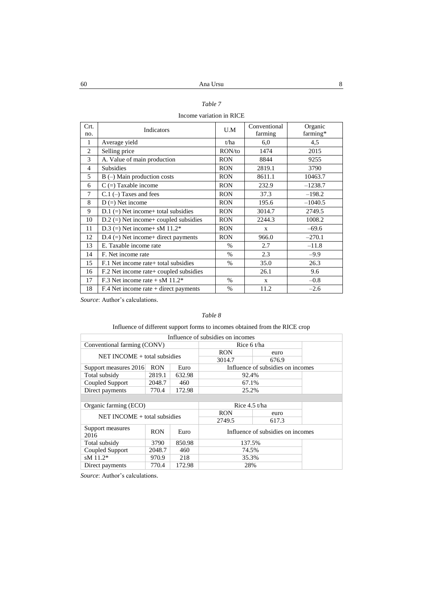## *Table 7*

## Income variation in RICE

| Crt.<br>no.    | Indicators                              | U.M           | Conventional<br>farming | Organic<br>farming* |
|----------------|-----------------------------------------|---------------|-------------------------|---------------------|
| 1              | Average yield                           | t/ha          | 6,0                     | 4,5                 |
| $\overline{c}$ | Selling price                           | RON/to        | 1474                    | 2015                |
| 3              | A. Value of main production             | <b>RON</b>    | 8844                    | 9255                |
| $\overline{4}$ | <b>Subsidies</b>                        | <b>RON</b>    | 2819.1                  | 3790                |
| 5              | $B$ (–) Main production costs           | <b>RON</b>    | 8611.1                  | 10463.7             |
| 6              | $C =$ ) Taxable income                  | <b>RON</b>    | 232.9                   | $-1238.7$           |
| 7              | $C.1$ (-) Taxes and fees                | <b>RON</b>    | 37.3                    | $-198.2$            |
| 8              | $D (=)$ Net income                      | <b>RON</b>    | 195.6                   | $-1040.5$           |
| 9              | $D.1 (=)$ Net income+ total subsidies   | <b>RON</b>    | 3014.7                  | 2749.5              |
| 10             | $D.2$ (=) Net income+ coupled subsidies | <b>RON</b>    | 2244.3                  | 1008.2              |
| 11             | D.3 (=) Net income+ sM $11.2*$          | <b>RON</b>    | $\mathbf{X}$            | $-69.6$             |
| 12             | $D.4 (=)$ Net income+ direct payments   | <b>RON</b>    | 966.0                   | $-270.1$            |
| 13             | E. Taxable income rate                  | $\%$          | 2.7                     | $-11.8$             |
| 14             | F. Net income rate                      | $\%$          | 2.3                     | $-9.9$              |
| 15             | F.1 Net income rate + total subsidies   | $\%$          | 35.0                    | 26.3                |
| 16             | F.2 Net income rate + coupled subsidies |               | 26.1                    | 9.6                 |
| 17             | F.3 Net income rate + sM $11.2*$        | $\%$          | $\mathbf{x}$            | $-0.8$              |
| 18             | $F.4$ Net income rate + direct payments | $\frac{0}{0}$ | 11.2                    | $-2.6$              |

*Source*: Author's calculations.

## *Table 8*

## Influence of different support forms to incomes obtained from the RICE crop

| Influence of subsidies on incomes |                             |        |                 |                                   |  |
|-----------------------------------|-----------------------------|--------|-----------------|-----------------------------------|--|
|                                   | Conventional farming (CONV) |        |                 | Rice 6 t/ha                       |  |
| $NET INCOMP + total$ subsidies    |                             |        | <b>RON</b>      | euro                              |  |
|                                   |                             |        | 3014.7          | 676.9                             |  |
| Support measures 2016             | <b>RON</b>                  | Euro   |                 | Influence of subsidies on incomes |  |
| Total subsidy                     | 2819.1                      | 632.98 | 92.4%           |                                   |  |
| Coupled Support                   | 2048.7                      | 460    | 67.1%           |                                   |  |
| Direct payments                   | 770.4                       | 172.98 | 25.2%           |                                   |  |
|                                   |                             |        |                 |                                   |  |
| Organic farming (ECO)             |                             |        |                 |                                   |  |
|                                   |                             |        | Rice $4.5$ t/ha |                                   |  |
|                                   |                             |        | <b>RON</b>      | euro                              |  |
| $NET INCOMP + total$ subsidies    |                             |        | 2749.5          | 617.3                             |  |
| Support measures<br>2016          | <b>RON</b>                  | Euro   |                 | Influence of subsidies on incomes |  |
| Total subsidy                     | 3790                        | 850.98 | 137.5%          |                                   |  |
| Coupled Support                   | 2048.7                      | 460    | 74.5%           |                                   |  |
| $sM$ 11.2*                        | 970.9                       | 218    | 35.3%           |                                   |  |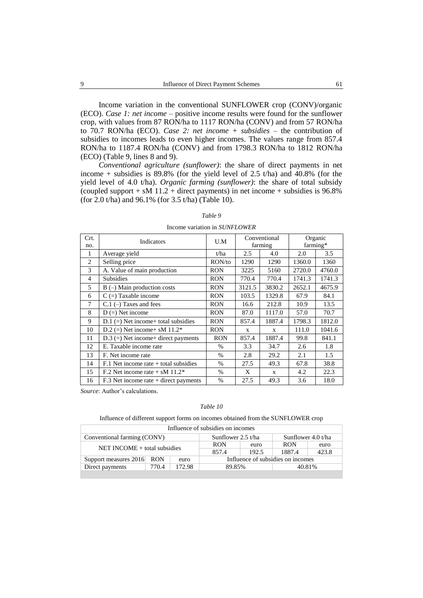Income variation in the conventional SUNFLOWER crop (CONV)/organic (ECO). *Case 1: net income* – positive income results were found for the sunflower crop, with values from 87 RON/ha to 1117 RON/ha (CONV) and from 57 RON/ha to 70.7 RON/ha (ECO). *Case 2: net income + subsidies* – the contribution of subsidies to incomes leads to even higher incomes. The values range from 857.4 RON/ha to 1187.4 RON/ha (CONV) and from 1798.3 RON/ha to 1812 RON/ha (ECO) (Table 9, lines 8 and 9).

*Conventional agriculture (sunflower)*: the share of direct payments in net income + subsidies is  $89.8\%$  (for the yield level of 2.5 t/ha) and 40.8% (for the yield level of 4.0 t/ha). *Organic farming (sunflower)*: the share of total subsidy (coupled support  $+$  sM 11.2  $+$  direct payments) in net income  $+$  subsidies is 96.8% (for 2.0 t/ha) and 96.1% (for 3.5 t/ha) (Table 10).

#### Crt. no. Indicators U.M Conventional farming Organic farming\* 1 Average yield t/ha 2.5 4.0 2.0 3.5 2 Selling price RON/to 1290 1290 1360.0 1360<br>3 A. Value of main production RON 3225 5160 2720.0 4760.0 3 A. Value of main production RON 3225 5160 2720.0 4760.0 4 Subsidies RON 770.4 770.4 1741.3 1741.3 5 | B (–) Main production costs | RON | 3121.5 | 3830.2 | 2652.1 | 4675.9 6 | C (=) Taxable income RON | 103.5 | 1329.8 | 67.9 | 84.1 7 | C.1 (-) Taxes and fees | RON | 16.6 | 212.8 | 10.9 | 13.5 8 D (=) Net income RON 87.0 1117.0 57.0 70.7 9 D.1 (=) Net income+ total subsidies RON 857.4 1887.4 1798.3 1812.0 10 | D.2 (=) Net income + sM 11.2\* | RON | x | x | 111.0 | 1041.6 11 | D.3 (=) Net income+ direct payments | RON | 857.4 | 1887.4 | 99.8 | 841.1 12 E. Taxable income rate 1 % 3.3 34.7 2.6 1.8 13 F. Net income rate % 2.8 29.2 2.1 1.5 14 | F.1 Net income rate + total subsidies | % | 27.5 | 49.3 | 67.8 | 38.8 15 | F.2 Net income rate + sM 11.2\* | % | X | x | 4.2 | 22.3 16 | F.3 Net income rate + direct payments | % | 27.5 | 49.3 | 3.6 | 18.0

#### *Table 9*

Income variation in *SUNFLOWER*

*Source*: Author's calculations.

#### *Table 10*

Influence of different support forms on incomes obtained from the SUNFLOWER crop

| Influence of subsidies on incomes |                              |        |                                   |       |                      |        |
|-----------------------------------|------------------------------|--------|-----------------------------------|-------|----------------------|--------|
| Conventional farming (CONV)       |                              |        | Sunflower 2.5 t/ha                |       | Sunflower $4.0 t/ha$ |        |
|                                   |                              |        | <b>RON</b>                        | euro  | <b>RON</b>           | euro   |
|                                   | NET INCOME + total subsidies |        |                                   | 192.5 | 1887.4               | 423.8  |
| Support measures 2016 RON         |                              | euro   | Influence of subsidies on incomes |       |                      |        |
| Direct payments                   | 770.4                        | 172.98 | 89.85%                            |       |                      | 40.81% |
|                                   |                              |        |                                   |       |                      |        |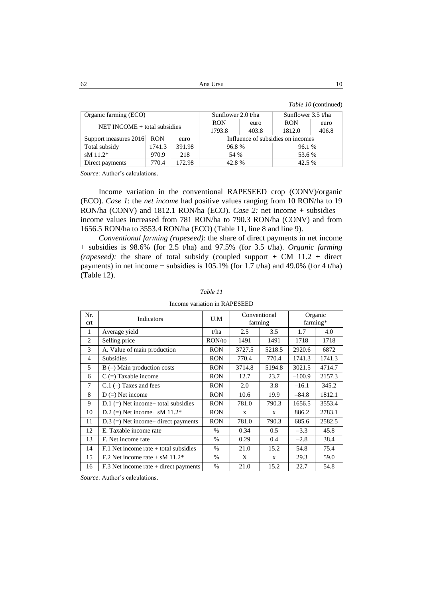$62$  Ana Ursu  $10$ 

*Table 10* (continued)

| Organic farming (ECO)        |            |        | Sunflower $2.0 t/ha$              |       | Sunflower $3.5$ t/ha |       |
|------------------------------|------------|--------|-----------------------------------|-------|----------------------|-------|
| NET INCOME + total subsidies |            |        | <b>RON</b>                        | euro  | <b>RON</b>           | euro  |
|                              |            |        | 1793.8                            | 403.8 | 1812.0               | 406.8 |
| Support measures 2016        | <b>RON</b> | euro   | Influence of subsidies on incomes |       |                      |       |
| Total subsidy                | 1741.3     | 391.98 | 96.8%                             |       | 96.1 %               |       |
| sM 11.2*                     | 970.9      | 218    | 54 %                              |       | 53.6 %               |       |
| Direct payments              | 770.4      | 172.98 | 42.8%                             |       | 42.5 %               |       |

*Source*: Author's calculations.

Income variation in the conventional RAPESEED crop (CONV)/organic (ECO). *Case 1*: the *net income* had positive values ranging from 10 RON/ha to 19 RON/ha (CONV) and 1812.1 RON/ha (ECO). *Case 2:* net income + subsidies – income values increased from 781 RON/ha to 790.3 RON/ha (CONV) and from 1656.5 RON/ha to 3553.4 RON/ha (ECO) (Table 11, line 8 and line 9).

*Conventional farming (rapeseed)*: the share of direct payments in net income + subsidies is 98.6% (for 2.5 t/ha) and 97.5% (for 3.5 t/ha). *Organic farming (rapeseed):* the share of total subsidy (coupled support + CM 11.2 + direct payments) in net income + subsidies is 105.1% (for 1.7 t/ha) and 49.0% (for 4 t/ha) (Table 12).

| Nr.<br>crt     | Indicators                                   | U.M        | Conventional<br>farming |              | Organic<br>farming* |        |  |
|----------------|----------------------------------------------|------------|-------------------------|--------------|---------------------|--------|--|
|                |                                              |            |                         |              |                     |        |  |
| 1              | Average yield                                | t/ha       | 2.5                     | 3.5          | 1.7                 | 4.0    |  |
| 2              | Selling price                                | RON/to     | 1491                    | 1491         | 1718                | 1718   |  |
| 3              | A. Value of main production                  | <b>RON</b> | 3727.5                  | 5218.5       | 2920.6              | 6872   |  |
| $\overline{4}$ | <b>Subsidies</b>                             | <b>RON</b> | 770.4                   | 770.4        | 1741.3              | 1741.3 |  |
| 5              | $B$ (–) Main production costs                | <b>RON</b> | 3714.8                  | 5194.8       | 3021.5              | 4714.7 |  |
| 6              | $C =$ Taxable income                         | <b>RON</b> | 12.7                    | 23.7         | $-100.9$            | 2157.3 |  |
| 7              | $C.1$ (-) Taxes and fees                     | <b>RON</b> | 2.0                     | 3.8          | $-16.1$             | 345.2  |  |
| 8              | $D (=)$ Net income                           | <b>RON</b> | 10.6                    | 19.9         | $-84.8$             | 1812.1 |  |
| 9              | $D.1$ (=) Net income+ total subsidies        | <b>RON</b> | 781.0                   | 790.3        | 1656.5              | 3553.4 |  |
| 10             | D.2 (=) Net income+ sM $11.2*$               | <b>RON</b> | $\mathbf{x}$            | $\mathbf{x}$ | 886.2               | 2783.1 |  |
| 11             | $D.3$ (=) Net income+ direct payments        | <b>RON</b> | 781.0                   | 790.3        | 685.6               | 2582.5 |  |
| 12             | E. Taxable income rate                       | $\%$       | 0.34                    | 0.5          | $-3.3$              | 45.8   |  |
| 13             | F. Net income rate                           | $\%$       | 0.29                    | 0.4          | $-2.8$              | 38.4   |  |
| 14             | $F.1$ Net income rate $+$ total subsidies    | $\%$       | 21.0                    | 15.2         | 54.8                | 75.4   |  |
| 15             | F.2 Net income rate $+$ sM 11.2 <sup>*</sup> | $\%$       | X                       | $\mathbf{x}$ | 29.3                | 59.0   |  |
| 16             | $F.3$ Net income rate + direct payments      | $\%$       | 21.0                    | 15.2         | 22.7                | 54.8   |  |

## *Table 11*

Income variation in RAPESEED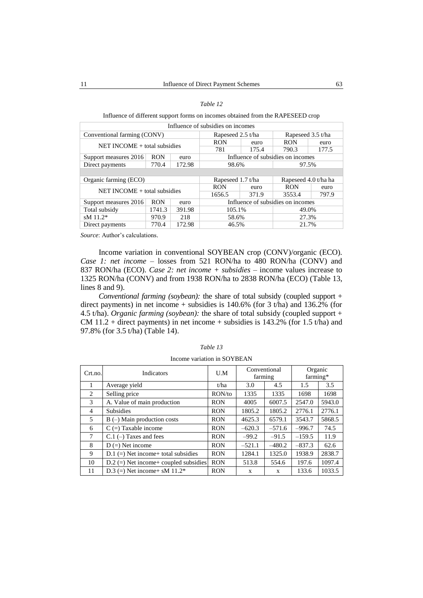### *Table 12*

### Influence of different support forms on incomes obtained from the RAPESEED crop

| Influence of subsidies on incomes |            |        |                   |       |                                   |                   |  |
|-----------------------------------|------------|--------|-------------------|-------|-----------------------------------|-------------------|--|
| Conventional farming (CONV)       |            |        | Rapeseed 2.5 t/ha |       |                                   | Rapeseed 3.5 t/ha |  |
| $NET INCOME + total$ subsidies    |            |        | <b>RON</b>        | euro  | <b>RON</b>                        | euro              |  |
|                                   |            |        | 781               | 175.4 | 790.3                             | 177.5             |  |
| Support measures 2016             | <b>RON</b> | euro   |                   |       | Influence of subsidies on incomes |                   |  |
| Direct payments                   | 770.4      | 172.98 | 98.6%             |       | 97.5%                             |                   |  |
|                                   |            |        |                   |       |                                   |                   |  |
|                                   |            |        |                   |       |                                   |                   |  |
| Organic farming (ECO)             |            |        | Rapeseed 1.7 t/ha |       | Rapeseed 4.0 t/ha ha              |                   |  |
|                                   |            |        | <b>RON</b>        | euro  | <b>RON</b>                        | euro              |  |
| NET INCOME $+$ total subsidies    |            |        | 1656.5            | 371.9 | 3553.4                            | 797.9             |  |
| Support measures 2016             | <b>RON</b> | euro   |                   |       | Influence of subsidies on incomes |                   |  |
| Total subsidy                     | 1741.3     | 391.98 | 105.1%            |       | 49.0%                             |                   |  |
| $sM$ 11.2*                        | 970.9      | 218    | 58.6%             |       | 27.3%                             |                   |  |

*Source*: Author's calculations.

Income variation in conventional SOYBEAN crop (CONV)/organic (ECO). *Case 1: net income* – losses from 521 RON/ha to 480 RON/ha (CONV) and 837 RON/ha (ECO). *Case 2: net income + subsidies* – income values increase to 1325 RON/ha (CONV) and from 1938 RON/ha to 2838 RON/ha (ECO) (Table 13, lines 8 and 9).

*Conventional farming (soybean):* the share of total subsidy (coupled support + direct payments) in net income  $+$  subsidies is 140.6% (for 3 t/ha) and 136.2% (for 4.5 t/ha). *Organic farming (soybean):* the share of total subsidy (coupled support + CM 11.2 + direct payments) in net income + subsidies is 143.2% (for 1.5 t/ha) and 97.8% (for 3.5 t/ha) (Table 14).

| Crt.no.        | <b>Indicators</b>                       | U.M        | Conventional<br>farming |          | Organic<br>farming* |        |
|----------------|-----------------------------------------|------------|-------------------------|----------|---------------------|--------|
| 1              | Average yield                           | t/ha       | 3.0                     | 4.5      | 1.5                 | 3.5    |
| 2              | Selling price                           | RON/to     | 1335                    | 1335     | 1698                | 1698   |
| 3              | A. Value of main production             | <b>RON</b> | 4005                    | 6007.5   | 2547.0              | 5943.0 |
| $\overline{4}$ | <b>Subsidies</b>                        | <b>RON</b> | 1805.2                  | 1805.2   | 2776.1              | 2776.1 |
| 5              | $B$ (-) Main production costs           | <b>RON</b> | 4625.3                  | 6579.1   | 3543.7              | 5868.5 |
| 6              | $C =$ Taxable income                    | <b>RON</b> | $-620.3$                | $-571.6$ | $-996.7$            | 74.5   |
| $\tau$         | $C.1$ (-) Taxes and fees                | <b>RON</b> | $-99.2$                 | $-91.5$  | $-159.5$            | 11.9   |
| 8              | $D (=)$ Net income                      | <b>RON</b> | $-521.1$                | $-480.2$ | $-837.3$            | 62.6   |
| 9              | $D.1$ (=) Net income+ total subsidies   | <b>RON</b> | 1284.1                  | 1325.0   | 1938.9              | 2838.7 |
| 10             | $D.2$ (=) Net income+ coupled subsidies | <b>RON</b> | 513.8                   | 554.6    | 197.6               | 1097.4 |
| 11             | D.3 (=) Net income + sM $11.2*$         | <b>RON</b> | X                       | X        | 133.6               | 1033.5 |

*Table 13*

| Income variation in SOYBEAN |  |  |
|-----------------------------|--|--|
|                             |  |  |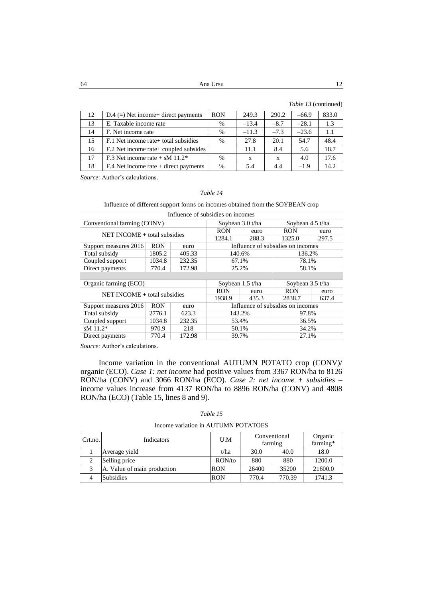64 Ana Ursu 12

| 12 | $D.4$ (=) Net income+ direct payments   | <b>RON</b>    | 249.3   | 290.2  | $-66.9$ | 833.0 |
|----|-----------------------------------------|---------------|---------|--------|---------|-------|
| 13 | E. Taxable income rate                  | $\%$          | $-13.4$ | $-8.7$ | $-28.1$ | 1.3   |
| 14 | F. Net income rate                      | $\%$          | $-11.3$ | $-7.3$ | $-23.6$ | 1.1   |
| 15 | F.1 Net income rate + total subsidies   | $\frac{0}{0}$ | 27.8    | 20.1   | 54.7    | 48.4  |
| 16 | F.2 Net income rate + coupled subsides  |               | 11.1    | 8.4    | 5.6     | 18.7  |
| 17 | F.3 Net income rate + sM $11.2*$        | $\%$          | X       | X      | 4.0     | 17.6  |
| 18 | $F.4$ Net income rate + direct payments | $\%$          | 5.4     | 4.4    | $-1.9$  | 14.2. |

*Source*: Author's calculations.

## *Table 14*

## Influence of different support forms on incomes obtained from the SOYBEAN crop

| Influence of subsidies on incomes |            |        |                                   |       |                                   |       |
|-----------------------------------|------------|--------|-----------------------------------|-------|-----------------------------------|-------|
| Conventional farming (CONV)       |            |        | Soybean 3.0 t/ha                  |       | Soybean $4.5$ t/ha                |       |
| $NET INCOME + total$ subsidies    |            |        | <b>RON</b>                        | euro  | <b>RON</b>                        | euro  |
|                                   |            |        | 1284.1                            | 288.3 | 1325.0                            | 297.5 |
| Support measures 2016             | <b>RON</b> | euro   |                                   |       | Influence of subsidies on incomes |       |
| Total subsidy                     | 1805.2     | 405.33 | 140.6%                            |       | 136.2%                            |       |
| Coupled support                   | 1034.8     | 232.35 | 67.1%                             |       | 78.1%                             |       |
| Direct payments                   | 770.4      | 172.98 | 25.2%                             |       | 58.1%                             |       |
|                                   |            |        |                                   |       |                                   |       |
| Organic farming (ECO)             |            |        | Soybean 1.5 t/ha                  |       | Soybean 3.5 t/ha                  |       |
| $NET INCOME + total$ subsidies    |            |        | <b>RON</b>                        | euro  | <b>RON</b>                        | euro  |
|                                   |            |        | 1938.9                            | 435.3 | 2838.7                            | 637.4 |
| Support measures 2016             | <b>RON</b> | euro   | Influence of subsidies on incomes |       |                                   |       |
| Total subsidy                     | 2776.1     | 623.3  | 143.2%                            |       | 97.8%                             |       |
| Coupled support                   | 1034.8     | 232.35 | 53.4%                             |       | 36.5%                             |       |
| sM 11.2*                          | 970.9      | 218    | 50.1%                             |       | 34.2%                             |       |
| Direct payments                   | 770.4      | 172.98 | 39.7%                             |       | 27.1%                             |       |

*Source*: Author's calculations.

Income variation in the conventional AUTUMN POTATO crop (CONV)/ organic (ECO). *Case 1: net income* had positive values from 3367 RON/ha to 8126 RON/ha (CONV) and 3066 RON/ha (ECO). *Case 2: net income + subsidies* – income values increase from 4137 RON/ha to 8896 RON/ha (CONV) and 4808 RON/ha (ECO) (Table 15, lines 8 and 9).

| Table |  |
|-------|--|
|-------|--|

| Income variation in AUTUMN POTATOES |  |  |  |
|-------------------------------------|--|--|--|
|-------------------------------------|--|--|--|

| Crt.no. | <b>Indicators</b>           | U.M        | Conventional<br>farming |        | Organic<br>farming* |
|---------|-----------------------------|------------|-------------------------|--------|---------------------|
|         | Average yield               | t/ha       | 30.0                    | 40.0   | 18.0                |
| ∍<br>∠  | Selling price               | RON/to     | 880                     | 880    | 1200.0              |
| 2       | A. Value of main production | RON        | 26400                   | 35200  | 21600.0             |
|         | <b>Subsidies</b>            | <b>RON</b> | 770.4                   | 770.39 | 1741.3              |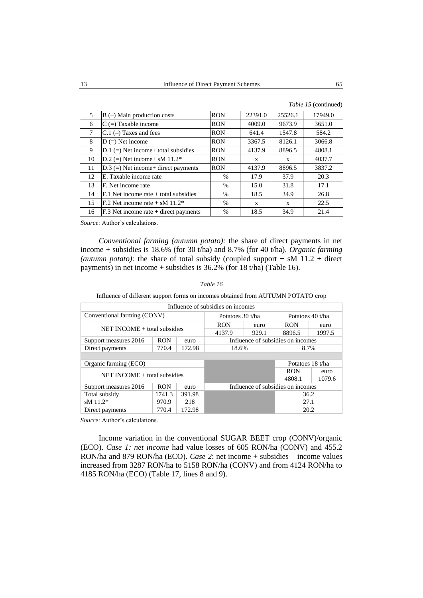| 5  | $B$ (-) Main production costs             | <b>RON</b> | 22391.0 | 25526.1      | 17949.0 |
|----|-------------------------------------------|------------|---------|--------------|---------|
| 6  | $C =$ Taxable income                      | <b>RON</b> | 4009.0  | 9673.9       | 3651.0  |
| 7  | $C.1$ (-) Taxes and fees                  | <b>RON</b> | 641.4   | 1547.8       | 584.2   |
| 8  | $D (=)$ Net income                        | <b>RON</b> | 3367.5  | 8126.1       | 3066.8  |
| 9  | $D.1$ (=) Net income+ total subsidies     | <b>RON</b> | 4137.9  | 8896.5       | 4808.1  |
| 10 | D.2 (=) Net income+ sM $11.2*$            | <b>RON</b> | X       | $\mathbf{x}$ | 4037.7  |
| 11 | $D.3$ (=) Net income+ direct payments     | <b>RON</b> | 4137.9  | 8896.5       | 3837.2  |
| 12 | E. Taxable income rate                    | $\%$       | 17.9    | 37.9         | 20.3    |
| 13 | F. Net income rate                        | $\%$       | 15.0    | 31.8         | 17.1    |
| 14 | $F.1$ Net income rate $+$ total subsidies | $\%$       | 18.5    | 34.9         | 26.8    |
| 15 | F.2 Net income rate $+$ sM 11.2*          | $\%$       | X       | $\mathbf{x}$ | 22.5    |
| 16 | $F.3$ Net income rate + direct payments   | $\%$       | 18.5    | 34.9         | 21.4    |

*Conventional farming (autumn potato):* the share of direct payments in net income + subsidies is 18.6% (for 30 t/ha) and 8.7% (for 40 t/ha). *Organic farming*  (*autumn potato*): the share of total subsidy (coupled support  $+$  sM 11.2  $+$  direct payments) in net income + subsidies is 36.2% (for 18 t/ha) (Table 16).

## *Table 16*

Influence of different support forms on incomes obtained from AUTUMN POTATO crop

| Influence of subsidies on incomes |                  |        |                                   |       |                                   |        |
|-----------------------------------|------------------|--------|-----------------------------------|-------|-----------------------------------|--------|
| Conventional farming (CONV)       | Potatoes 30 t/ha |        | Potatoes 40 t/ha                  |       |                                   |        |
| $NET INCOME + total$ subsidies    |                  |        | <b>RON</b>                        | euro  | <b>RON</b>                        | euro   |
|                                   |                  |        | 4137.9                            | 929.1 | 8896.5                            | 1997.5 |
| Support measures 2016             | <b>RON</b>       | euro   |                                   |       | Influence of subsidies on incomes |        |
| Direct payments                   | 770.4            | 172.98 | 18.6%                             |       | 8.7%                              |        |
|                                   |                  |        |                                   |       |                                   |        |
| Organic farming (ECO)             |                  |        |                                   |       | Potatoes 18 t/ha                  |        |
| NET INCOME $+$ total subsidies    |                  |        |                                   |       | <b>RON</b>                        | euro   |
|                                   |                  |        |                                   |       | 4808.1                            | 1079.6 |
| Support measures 2016             | <b>RON</b>       | euro   | Influence of subsidies on incomes |       |                                   |        |
| Total subsidy                     | 1741.3           | 391.98 |                                   |       | 36.2                              |        |
| $sM$ 11.2*                        | 970.9            | 218    |                                   |       | 27.1                              |        |
| Direct payments                   | 770.4            | 172.98 | 20.2                              |       |                                   |        |

*Source*: Author's calculations.

Income variation in the conventional SUGAR BEET crop (CONV)/organic (ECO). *Case 1: net income* had value losses of 605 RON/ha (CONV) and 455.2 RON/ha and 879 RON/ha (ECO). *Case 2*: net income + subsidies – income values increased from 3287 RON/ha to 5158 RON/ha (CONV) and from 4124 RON/ha to 4185 RON/ha (ECO) (Table 17, lines 8 and 9).

*Table 15* (continued)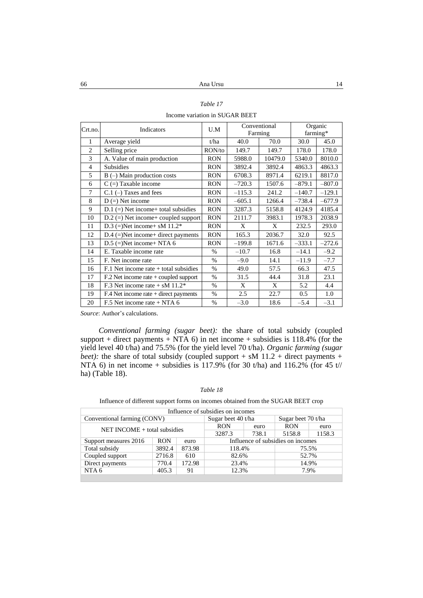| anie |  |
|------|--|
|      |  |

Income variation in SUGAR BEET

| Crt.no.        | Indicators                              | U.M           | Conventional<br>Farming |         | farming* | Organic  |
|----------------|-----------------------------------------|---------------|-------------------------|---------|----------|----------|
| 1              | Average yield                           | t/ha          | 40.0                    | 70.0    | 30.0     | 45.0     |
| $\overline{2}$ | Selling price                           | RON/to        | 149.7                   | 149.7   | 178.0    | 178.0    |
| 3              | A. Value of main production             | <b>RON</b>    | 5988.0                  | 10479.0 | 5340.0   | 8010.0   |
| $\overline{4}$ | Subsidies                               | <b>RON</b>    | 3892.4                  | 3892.4  | 4863.3   | 4863.3   |
| 5              | $B$ (-) Main production costs           | <b>RON</b>    | 6708.3                  | 8971.4  | 6219.1   | 8817.0   |
| 6              | $C =$ ) Taxable income                  | <b>RON</b>    | $-720.3$                | 1507.6  | $-879.1$ | $-807.0$ |
| $\tau$         | $C.1$ (-) Taxes and fees                | <b>RON</b>    | $-115.3$                | 241.2   | $-140.7$ | $-129.1$ |
| 8              | $D (=)$ Net income                      | <b>RON</b>    | $-605.1$                | 1266.4  | $-738.4$ | $-677.9$ |
| 9              | $D.1$ (=) Net income+ total subsidies   | <b>RON</b>    | 3287.3                  | 5158.8  | 4124.9   | 4185.4   |
| 10             | $D.2$ (=) Net income+ coupled support   | <b>RON</b>    | 2111.7                  | 3983.1  | 1978.3   | 2038.9   |
| 11             | D.3 (=)Net income+ sM $11.2*$           | <b>RON</b>    | X                       | X       | 232.5    | 293.0    |
| 12             | $D.4$ (=)Net income+ direct payments    | <b>RON</b>    | 165.3                   | 2036.7  | 32.0     | 92.5     |
| 13             | $D.5$ (=)Net income+ NTA 6              | <b>RON</b>    | $-199.8$                | 1671.6  | $-333.1$ | $-272.6$ |
| 14             | E. Taxable income rate                  | $\%$          | $-10.7$                 | 16.8    | $-14.1$  | $-9.2$   |
| 15             | F. Net income rate                      | $\frac{0}{0}$ | $-9.0$                  | 14.1    | $-11.9$  | $-7.7$   |
| 16             | $F.1$ Net income rate + total subsidies | $\%$          | 49.0                    | 57.5    | 66.3     | 47.5     |
| 17             | $F02$ Net income rate + coupled support | $\%$          | 31.5                    | 44.4    | 31.8     | 23.1     |
| 18             | F.3 Net income rate + sM $11.2*$        | $\%$          | X                       | X       | 5.2      | 4.4      |
| 19             | $F.4$ Net income rate + direct payments | $\%$          | 2.5                     | 22.7    | 0.5      | 1.0      |
| 20             | F.5 Net income rate $+$ NTA 6           | $\%$          | $-3.0$                  | 18.6    | $-5.4$   | $-3.1$   |

*Conventional farming (sugar beet):* the share of total subsidy (coupled support + direct payments + NTA  $6$ ) in net income + subsidies is 118.4% (for the yield level 40 t/ha) and 75.5% (for the yield level 70 t/ha). *Organic farming (sugar beet*): the share of total subsidy (coupled support  $+$  sM 11.2  $+$  direct payments  $+$ NTA 6) in net income + subsidies is  $117.9\%$  (for 30 t/ha) and  $116.2\%$  (for 45 t// ha) (Table 18).

#### *Table 18*

| Influence of different support forms on incomes obtained from the SUGAR BEET crop |  |  |
|-----------------------------------------------------------------------------------|--|--|
|-----------------------------------------------------------------------------------|--|--|

| Influence of subsidies on incomes |        |        |                    |       |                                   |        |  |
|-----------------------------------|--------|--------|--------------------|-------|-----------------------------------|--------|--|
| Conventional farming (CONV)       |        |        | Sugar beet 40 t/ha |       | Sugar beet 70 t/ha                |        |  |
| $NET INCOME + total$ subsidies    |        |        | <b>RON</b>         | euro  | <b>RON</b>                        | euro   |  |
|                                   |        |        | 3287.3             | 738.1 | 5158.8                            | 1158.3 |  |
| Support measures 2016             | RON    | euro   |                    |       | Influence of subsidies on incomes |        |  |
| Total subsidy                     | 3892.4 | 873.98 | 118.4%             |       | 75.5%                             |        |  |
| Coupled support                   | 2716.8 | 610    | 82.6%              |       | 52.7%                             |        |  |
| Direct payments                   | 770.4  | 172.98 | 23.4%              |       | 14.9%                             |        |  |
| NTA 6                             | 405.3  | 91     | 12.3%              |       |                                   | 7.9%   |  |
|                                   |        |        |                    |       |                                   |        |  |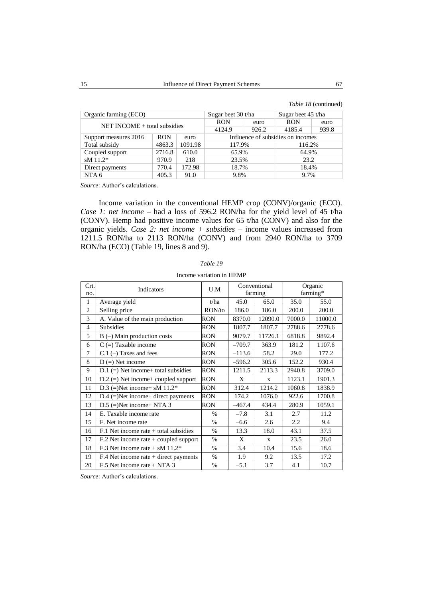|  | Table 18 (continued) |
|--|----------------------|
|--|----------------------|

| Organic farming (ECO)          | Sugar beet 30 t/ha |         | Sugar beet 45 t/ha |       |                                   |  |       |  |
|--------------------------------|--------------------|---------|--------------------|-------|-----------------------------------|--|-------|--|
| $NET INCOME + total$ subsidies | <b>RON</b>         | euro    | <b>RON</b>         | euro  |                                   |  |       |  |
|                                | 4124.9             | 926.2   | 4185.4             | 939.8 |                                   |  |       |  |
| Support measures 2016          | <b>RON</b>         | euro    |                    |       | Influence of subsidies on incomes |  |       |  |
| Total subsidy                  | 4863.3             | 1091.98 | 117.9%             |       | 116.2%                            |  |       |  |
| Coupled support                | 2716.8             | 610.0   | 65.9%              |       | 64.9%                             |  |       |  |
| $sM$ 11.2*                     | 970.9              | 218     | 23.5%              |       | 23.2                              |  |       |  |
| Direct payments                | 770.4              | 172.98  | 18.7%              |       |                                   |  | 18.4% |  |
| NTA 6                          | 405.3              | 91.0    | 9.8%               |       | 9.7%                              |  |       |  |

Income variation in the conventional HEMP crop (CONV)/organic (ECO). *Case 1: net income* – had a loss of 596.2 RON/ha for the yield level of 45 t/ha (CONV). Hemp had positive income values for 65 t/ha (CONV) and also for the organic yields. *Case 2: net income + subsidies* – income values increased from 1211.5 RON/ha to 2113 RON/ha (CONV) and from 2940 RON/ha to 3709 RON/ha (ECO) (Table 19, lines 8 and 9).

| Crt.<br>no.    | Indicators                                   | U.M           |          | Conventional<br>farming |        | Organic<br>farming* |  |
|----------------|----------------------------------------------|---------------|----------|-------------------------|--------|---------------------|--|
| 1              | Average yield                                | t/ha          | 45.0     | 65.0                    | 35.0   | 55.0                |  |
| $\overline{2}$ | Selling price                                | RON/to        | 186.0    | 186.0                   | 200.0  | 200.0               |  |
| 3              | A. Value of the main production              | RON           | 8370.0   | 12090.0                 | 7000.0 | 11000.0             |  |
| $\overline{4}$ | <b>Subsidies</b>                             | RON           | 1807.7   | 1807.7                  | 2788.6 | 2778.6              |  |
| 5              | $B$ (–) Main production costs                | RON           | 9079.7   | 11726.1                 | 6818.8 | 9892.4              |  |
| 6              | $C =$ ) Taxable income                       | RON           | $-709.7$ | 363.9                   | 181.2  | 1107.6              |  |
| $\overline{7}$ | $C.1$ (-) Taxes and fees                     | RON           | $-113.6$ | 58.2                    | 29.0   | 177.2               |  |
| 8              | $D (=)$ Net income                           | RON           | $-596.2$ | 305.6                   | 152.2  | 930.4               |  |
| 9              | $D.1$ (=) Net income+ total subsidies        | <b>RON</b>    | 1211.5   | 2113.3                  | 2940.8 | 3709.0              |  |
| 10             | $D.2$ (=) Net income+ coupled support        | RON           | X        | X                       | 1123.1 | 1901.3              |  |
| 11             | D.3 (=)Net income+ sM $11.2*$                | RON           | 312.4    | 1214.2                  | 1060.8 | 1838.9              |  |
| 12             | $D.4$ (=)Net income+ direct payments         | RON           | 174.2    | 1076.0                  | 922.6  | 1700.8              |  |
| 13             | $D.5$ (=)Net income+ NTA 3                   | RON           | $-467.4$ | 434.4                   | 280.9  | 1059.1              |  |
| 14             | E. Taxable income rate                       | $\frac{0}{0}$ | $-7.8$   | 3.1                     | 2.7    | 11.2                |  |
| 15             | F. Net income rate                           | $\frac{0}{0}$ | $-6.6$   | 2.6                     | 2.2    | 9.4                 |  |
| 16             | $F.1$ Net income rate $+$ total subsidies    | $\%$          | 13.3     | 18.0                    | 43.1   | 37.5                |  |
| 17             | $F.2$ Net income rate + coupled support      | $\frac{0}{0}$ | X        | $\mathbf{x}$            | 23.5   | 26.0                |  |
| 18             | F.3 Net income rate $+$ sM 11.2 <sup>*</sup> | $\%$          | 3.4      | 10.4                    | 15.6   | 18.6                |  |
| 19             | $F.4$ Net income rate + direct payments      | $\%$          | 1.9      | 9.2                     | 13.5   | 17.2                |  |
| 20             | $F.5$ Net income rate + NTA 3                | $\%$          | $-5.1$   | 3.7                     | 4.1    | 10.7                |  |

Income variation in HEMP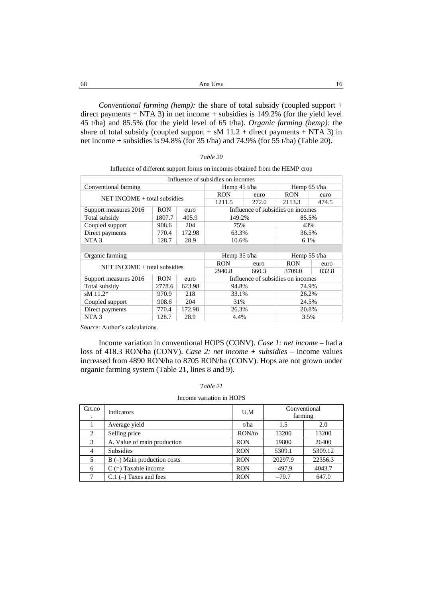| -68 |                                                                                                                                                                                                                                                                                                                                                                                                                                                              | Ana Ursu |  |
|-----|--------------------------------------------------------------------------------------------------------------------------------------------------------------------------------------------------------------------------------------------------------------------------------------------------------------------------------------------------------------------------------------------------------------------------------------------------------------|----------|--|
|     |                                                                                                                                                                                                                                                                                                                                                                                                                                                              |          |  |
|     | <i>Conventional farming (hemp)</i> : the share of total subsidy (coupled support $+$                                                                                                                                                                                                                                                                                                                                                                         |          |  |
|     | $\mathcal{L} = \mathcal{L} = \mathcal{L} = \mathcal{L} = \mathcal{L} = \mathcal{L} = \mathcal{L} = \mathcal{L} = \mathcal{L} = \mathcal{L} = \mathcal{L} = \mathcal{L} = \mathcal{L} = \mathcal{L} = \mathcal{L} = \mathcal{L} = \mathcal{L} = \mathcal{L} = \mathcal{L} = \mathcal{L} = \mathcal{L} = \mathcal{L} = \mathcal{L} = \mathcal{L} = \mathcal{L} = \mathcal{L} = \mathcal{L} = \mathcal{L} = \mathcal{L} = \mathcal{L} = \mathcal{L} = \mathcal$ |          |  |

direct payments + NTA 3) in net income + subsidies is 149.2% (for the yield level 45 t/ha) and 85.5% (for the yield level of 65 t/ha). *Organic farming (hemp):* the share of total subsidy (coupled support + sM  $11.2$  + direct payments + NTA 3) in net income + subsidies is  $94.8\%$  (for 35 t/ha) and 74.9% (for 55 t/ha) (Table 20).

| Table 20 |  |
|----------|--|
|----------|--|

| Influence of different support forms on incomes obtained from the HEMP crop |  |  |  |  |
|-----------------------------------------------------------------------------|--|--|--|--|
|-----------------------------------------------------------------------------|--|--|--|--|

| Influence of subsidies on incomes |            |        |                                   |       |                                   |       |
|-----------------------------------|------------|--------|-----------------------------------|-------|-----------------------------------|-------|
| Conventional farming              |            |        | Hemp $45$ t/ha                    |       | Hemp $65$ t/ha                    |       |
| $NET INCOME + total$ subsidies    |            |        | <b>RON</b>                        | euro  | <b>RON</b>                        | euro  |
|                                   |            |        | 1211.5                            | 272.0 | 2113.3                            | 474.5 |
| Support measures 2016             | <b>RON</b> | euro   |                                   |       | Influence of subsidies on incomes |       |
| Total subsidy                     | 1807.7     | 405.9  | 149.2%                            |       | 85.5%                             |       |
| Coupled support                   | 908.6      | 204    | 75%                               |       | 43%                               |       |
| Direct payments                   | 770.4      | 172.98 | 63.3%<br>36.5%                    |       |                                   |       |
| NTA <sub>3</sub>                  | 128.7      | 28.9   | 10.6%                             |       | 6.1%                              |       |
|                                   |            |        |                                   |       |                                   |       |
| Organic farming                   |            |        | Hemp $35$ t/ha                    |       | Hemp $55$ t/ha                    |       |
|                                   | <b>RON</b> | euro   | <b>RON</b>                        | euro  |                                   |       |
| $NET INCOMP + total$ subsidies    |            |        | 2940.8                            | 660.3 | 3709.0                            | 832.8 |
| Support measures 2016             | <b>RON</b> | euro   | Influence of subsidies on incomes |       |                                   |       |
| Total subsidy                     | 2778.6     | 623.98 | 94.8%                             |       | 74.9%                             |       |
| sM $11.2*$                        | 970.9      | 218    | 33.1%                             |       | 26.2%                             |       |
| Coupled support                   | 908.6      | 204    | 31%                               |       | 24.5%                             |       |
| Direct payments                   | 770.4      | 172.98 | 26.3%<br>20.8%                    |       |                                   |       |
| NTA <sub>3</sub>                  | 128.7      | 28.9   | 4.4%<br>3.5%                      |       |                                   |       |

*Source*: Author's calculations.

Income variation in conventional HOPS (CONV). *Case 1: net income* – had a loss of 418.3 RON/ha (CONV). *Case 2: net income + subsidies* – income values increased from 4890 RON/ha to 8705 RON/ha (CONV). Hops are not grown under organic farming system (Table 21, lines 8 and 9).

### *Table 21*

## Income variation in HOPS

| Crt.no | <b>Indicators</b>             | U.M        | Conventional<br>farming |         |
|--------|-------------------------------|------------|-------------------------|---------|
|        | Average yield                 | t/ha       | 1.5                     | 2.0     |
| 2      | Selling price                 | RON/to     | 13200                   | 13200   |
| 3      | A. Value of main production   | <b>RON</b> | 19800                   | 26400   |
| 4      | <b>Subsidies</b>              | <b>RON</b> | 5309.1                  | 5309.12 |
| 5      | $B$ (-) Main production costs | <b>RON</b> | 20297.9                 | 22356.3 |
| 6      | $C =$ Taxable income          | <b>RON</b> | $-497.9$                | 4043.7  |
|        | $C.1$ (-) Taxes and fees      | <b>RON</b> | $-79.7$                 | 647.0   |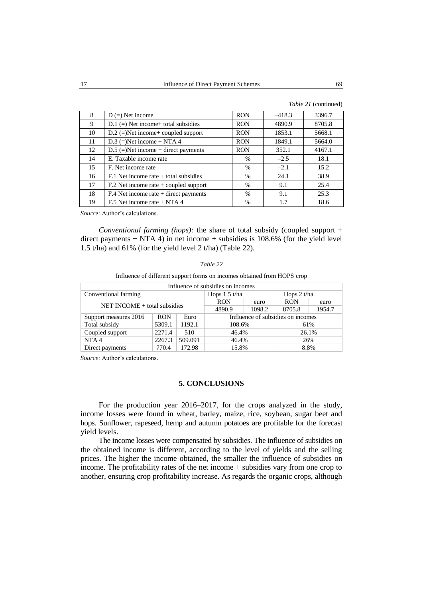|  | Table 21 (continued) |
|--|----------------------|
|--|----------------------|

| 8  | $D (=)$ Net income                        | <b>RON</b> | $-418.3$ | 3396.7 |
|----|-------------------------------------------|------------|----------|--------|
| 9  | $D.1 (=)$ Net income+ total subsidies     | <b>RON</b> | 4890.9   | 8705.8 |
| 10 | $D.2$ (=)Net income+ coupled support      | <b>RON</b> | 1853.1   | 5668.1 |
| 11 | $D.3$ (=)Net income + NTA 4               | <b>RON</b> | 1849.1   | 5664.0 |
| 12 | $D.5$ (=)Net income + direct payments     | <b>RON</b> | 352.1    | 4167.1 |
| 14 | E. Taxable income rate                    | $\%$       | $-2.5$   | 18.1   |
| 15 | F. Net income rate                        | $\%$       | $-2.1$   | 15.2   |
| 16 | $F.1$ Net income rate $+$ total subsidies | $\%$       | 24.1     | 38.9   |
| 17 | $F0$ . Net income rate + coupled support  | $\%$       | 9.1      | 25.4   |
| 18 | F.4 Net income rate + direct payments     | $\%$       | 9.1      | 25.3   |
| 19 | F.5 Net income rate $+ NTA 4$             | $\%$       | 1.7      | 18.6   |

*Conventional farming (hops):* the share of total subsidy (coupled support + direct payments  $+$  NTA 4) in net income  $+$  subsidies is 108.6% (for the yield level 1.5 t/ha) and 61% (for the yield level 2 t/ha) (Table 22).

#### *Table 22*

Influence of different support forms on incomes obtained from HOPS crop

| Influence of subsidies on incomes       |            |         |                                   |               |            |        |  |
|-----------------------------------------|------------|---------|-----------------------------------|---------------|------------|--------|--|
| Conventional farming<br>Hops $1.5$ t/ha |            |         |                                   | Hops $2 t/ha$ |            |        |  |
| NET INCOME + total subsidies            |            |         | <b>RON</b>                        | euro          | <b>RON</b> | euro   |  |
|                                         |            |         | 4890.9                            | 1098.2        | 8705.8     | 1954.7 |  |
| Support measures 2016                   | <b>RON</b> | Euro    | Influence of subsidies on incomes |               |            |        |  |
| Total subsidy                           | 5309.1     | 1192.1  | 108.6%<br>61%                     |               |            |        |  |
| Coupled support                         | 2271.4     | 510     | 46.4%                             |               |            | 26.1%  |  |
| NTA <sub>4</sub>                        | 2267.3     | 509.091 | 46.4%                             |               |            | 26%    |  |
| Direct payments                         | 770.4      | 172.98  | 15.8%                             |               |            | 8.8%   |  |

*Source*: Author's calculations.

## **5. CONCLUSIONS**

For the production year 2016–2017, for the crops analyzed in the study, income losses were found in wheat, barley, maize, rice, soybean, sugar beet and hops. Sunflower, rapeseed, hemp and autumn potatoes are profitable for the forecast yield levels.

The income losses were compensated by subsidies. The influence of subsidies on the obtained income is different, according to the level of yields and the selling prices. The higher the income obtained, the smaller the influence of subsidies on income. The profitability rates of the net income + subsidies vary from one crop to another, ensuring crop profitability increase. As regards the organic crops, although